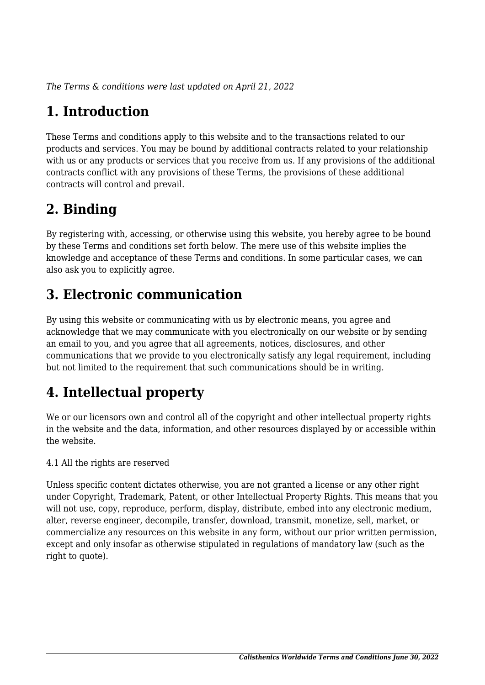*The Terms & conditions were last updated on April 21, 2022*

# **1. Introduction**

These Terms and conditions apply to this website and to the transactions related to our products and services. You may be bound by additional contracts related to your relationship with us or any products or services that you receive from us. If any provisions of the additional contracts conflict with any provisions of these Terms, the provisions of these additional contracts will control and prevail.

## **2. Binding**

By registering with, accessing, or otherwise using this website, you hereby agree to be bound by these Terms and conditions set forth below. The mere use of this website implies the knowledge and acceptance of these Terms and conditions. In some particular cases, we can also ask you to explicitly agree.

## **3. Electronic communication**

By using this website or communicating with us by electronic means, you agree and acknowledge that we may communicate with you electronically on our website or by sending an email to you, and you agree that all agreements, notices, disclosures, and other communications that we provide to you electronically satisfy any legal requirement, including but not limited to the requirement that such communications should be in writing.

# **4. Intellectual property**

We or our licensors own and control all of the copyright and other intellectual property rights in the website and the data, information, and other resources displayed by or accessible within the website.

4.1 All the rights are reserved

Unless specific content dictates otherwise, you are not granted a license or any other right under Copyright, Trademark, Patent, or other Intellectual Property Rights. This means that you will not use, copy, reproduce, perform, display, distribute, embed into any electronic medium, alter, reverse engineer, decompile, transfer, download, transmit, monetize, sell, market, or commercialize any resources on this website in any form, without our prior written permission, except and only insofar as otherwise stipulated in regulations of mandatory law (such as the right to quote).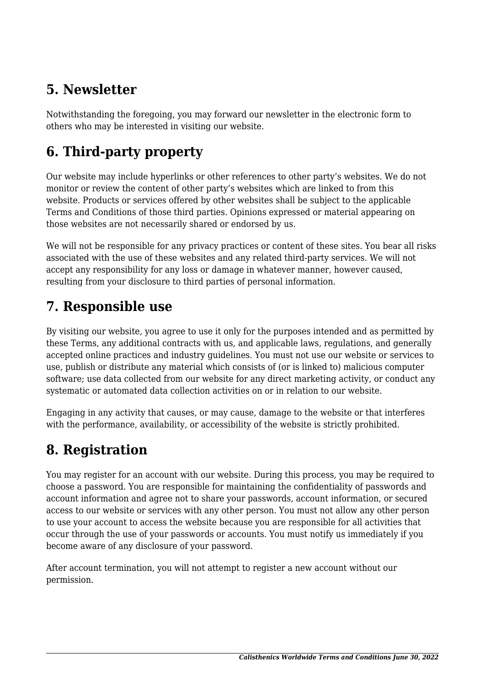## **5. Newsletter**

Notwithstanding the foregoing, you may forward our newsletter in the electronic form to others who may be interested in visiting our website.

# **6. Third-party property**

Our website may include hyperlinks or other references to other party's websites. We do not monitor or review the content of other party's websites which are linked to from this website. Products or services offered by other websites shall be subject to the applicable Terms and Conditions of those third parties. Opinions expressed or material appearing on those websites are not necessarily shared or endorsed by us.

We will not be responsible for any privacy practices or content of these sites. You bear all risks associated with the use of these websites and any related third-party services. We will not accept any responsibility for any loss or damage in whatever manner, however caused, resulting from your disclosure to third parties of personal information.

### **7. Responsible use**

By visiting our website, you agree to use it only for the purposes intended and as permitted by these Terms, any additional contracts with us, and applicable laws, regulations, and generally accepted online practices and industry guidelines. You must not use our website or services to use, publish or distribute any material which consists of (or is linked to) malicious computer software; use data collected from our website for any direct marketing activity, or conduct any systematic or automated data collection activities on or in relation to our website.

Engaging in any activity that causes, or may cause, damage to the website or that interferes with the performance, availability, or accessibility of the website is strictly prohibited.

## **8. Registration**

You may register for an account with our website. During this process, you may be required to choose a password. You are responsible for maintaining the confidentiality of passwords and account information and agree not to share your passwords, account information, or secured access to our website or services with any other person. You must not allow any other person to use your account to access the website because you are responsible for all activities that occur through the use of your passwords or accounts. You must notify us immediately if you become aware of any disclosure of your password.

After account termination, you will not attempt to register a new account without our permission.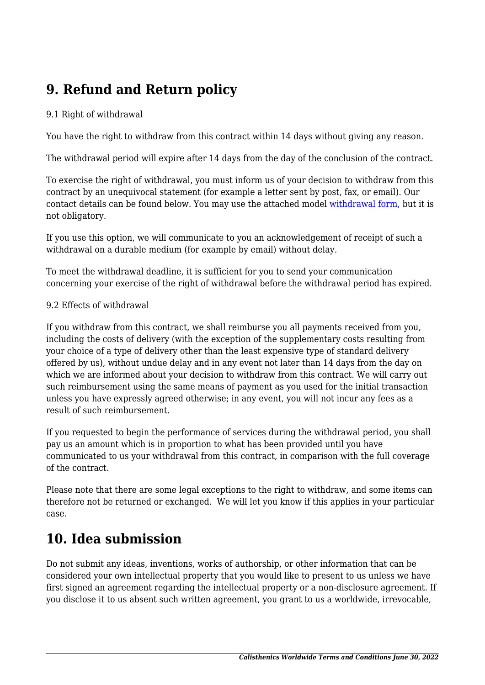## **9. Refund and Return policy**

#### 9.1 Right of withdrawal

You have the right to withdraw from this contract within 14 days without giving any reason.

The withdrawal period will expire after 14 days from the day of the conclusion of the contract.

To exercise the right of withdrawal, you must inform us of your decision to withdraw from this contract by an unequivocal statement (for example a letter sent by post, fax, or email). Our contact details can be found below. You may use the attached model [withdrawal form](https://calisthenicsworldwide.com/wp-content/uploads/complianz/withdrawal-forms/withdrawal-form-en.pdf), but it is not obligatory.

If you use this option, we will communicate to you an acknowledgement of receipt of such a withdrawal on a durable medium (for example by email) without delay.

To meet the withdrawal deadline, it is sufficient for you to send your communication concerning your exercise of the right of withdrawal before the withdrawal period has expired.

#### 9.2 Effects of withdrawal

If you withdraw from this contract, we shall reimburse you all payments received from you, including the costs of delivery (with the exception of the supplementary costs resulting from your choice of a type of delivery other than the least expensive type of standard delivery offered by us), without undue delay and in any event not later than 14 days from the day on which we are informed about your decision to withdraw from this contract. We will carry out such reimbursement using the same means of payment as you used for the initial transaction unless you have expressly agreed otherwise; in any event, you will not incur any fees as a result of such reimbursement.

If you requested to begin the performance of services during the withdrawal period, you shall pay us an amount which is in proportion to what has been provided until you have communicated to us your withdrawal from this contract, in comparison with the full coverage of the contract.

Please note that there are some legal exceptions to the right to withdraw, and some items can therefore not be returned or exchanged. We will let you know if this applies in your particular case.

### **10. Idea submission**

Do not submit any ideas, inventions, works of authorship, or other information that can be considered your own intellectual property that you would like to present to us unless we have first signed an agreement regarding the intellectual property or a non-disclosure agreement. If you disclose it to us absent such written agreement, you grant to us a worldwide, irrevocable,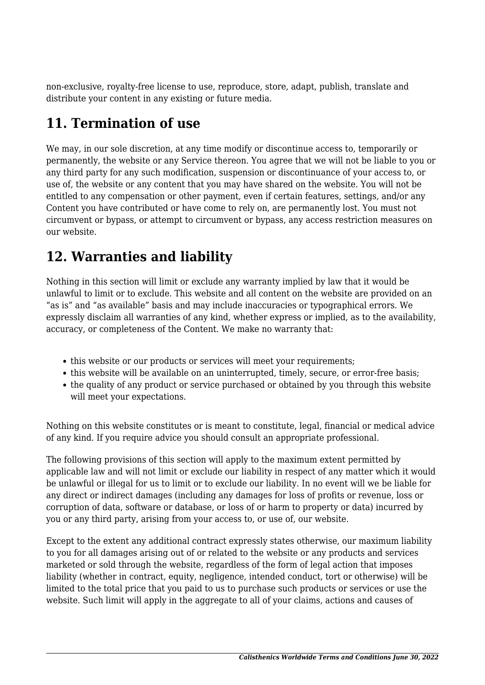non-exclusive, royalty-free license to use, reproduce, store, adapt, publish, translate and distribute your content in any existing or future media.

### **11. Termination of use**

We may, in our sole discretion, at any time modify or discontinue access to, temporarily or permanently, the website or any Service thereon. You agree that we will not be liable to you or any third party for any such modification, suspension or discontinuance of your access to, or use of, the website or any content that you may have shared on the website. You will not be entitled to any compensation or other payment, even if certain features, settings, and/or any Content you have contributed or have come to rely on, are permanently lost. You must not circumvent or bypass, or attempt to circumvent or bypass, any access restriction measures on our website.

## **12. Warranties and liability**

Nothing in this section will limit or exclude any warranty implied by law that it would be unlawful to limit or to exclude. This website and all content on the website are provided on an "as is" and "as available" basis and may include inaccuracies or typographical errors. We expressly disclaim all warranties of any kind, whether express or implied, as to the availability, accuracy, or completeness of the Content. We make no warranty that:

- this website or our products or services will meet your requirements;
- this website will be available on an uninterrupted, timely, secure, or error-free basis;
- the quality of any product or service purchased or obtained by you through this website will meet your expectations.

Nothing on this website constitutes or is meant to constitute, legal, financial or medical advice of any kind. If you require advice you should consult an appropriate professional.

The following provisions of this section will apply to the maximum extent permitted by applicable law and will not limit or exclude our liability in respect of any matter which it would be unlawful or illegal for us to limit or to exclude our liability. In no event will we be liable for any direct or indirect damages (including any damages for loss of profits or revenue, loss or corruption of data, software or database, or loss of or harm to property or data) incurred by you or any third party, arising from your access to, or use of, our website.

Except to the extent any additional contract expressly states otherwise, our maximum liability to you for all damages arising out of or related to the website or any products and services marketed or sold through the website, regardless of the form of legal action that imposes liability (whether in contract, equity, negligence, intended conduct, tort or otherwise) will be limited to the total price that you paid to us to purchase such products or services or use the website. Such limit will apply in the aggregate to all of your claims, actions and causes of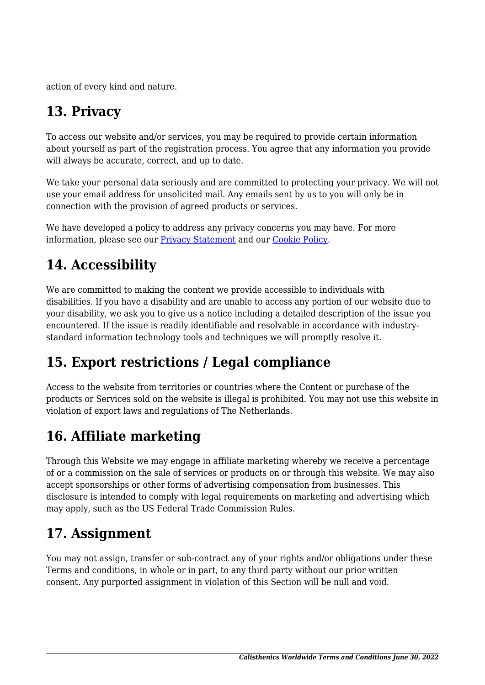action of every kind and nature.

# **13. Privacy**

To access our website and/or services, you may be required to provide certain information about yourself as part of the registration process. You agree that any information you provide will always be accurate, correct, and up to date.

We take your personal data seriously and are committed to protecting your privacy. We will not use your email address for unsolicited mail. Any emails sent by us to you will only be in connection with the provision of agreed products or services.

We have developed a policy to address any privacy concerns you may have. For more information, please see our [Privacy Statement](https://calisthenicsworldwide.com/privacy-statement-us/?cmplz_region_redirect=true) and our [Cookie Policy](https://calisthenicsworldwide.com/cookie-policy-us/?cmplz_region_redirect=true).

## **14. Accessibility**

We are committed to making the content we provide accessible to individuals with disabilities. If you have a disability and are unable to access any portion of our website due to your disability, we ask you to give us a notice including a detailed description of the issue you encountered. If the issue is readily identifiable and resolvable in accordance with industrystandard information technology tools and techniques we will promptly resolve it.

## **15. Export restrictions / Legal compliance**

Access to the website from territories or countries where the Content or purchase of the products or Services sold on the website is illegal is prohibited. You may not use this website in violation of export laws and regulations of The Netherlands.

## **16. Affiliate marketing**

Through this Website we may engage in affiliate marketing whereby we receive a percentage of or a commission on the sale of services or products on or through this website. We may also accept sponsorships or other forms of advertising compensation from businesses. This disclosure is intended to comply with legal requirements on marketing and advertising which may apply, such as the US Federal Trade Commission Rules.

### **17. Assignment**

You may not assign, transfer or sub-contract any of your rights and/or obligations under these Terms and conditions, in whole or in part, to any third party without our prior written consent. Any purported assignment in violation of this Section will be null and void.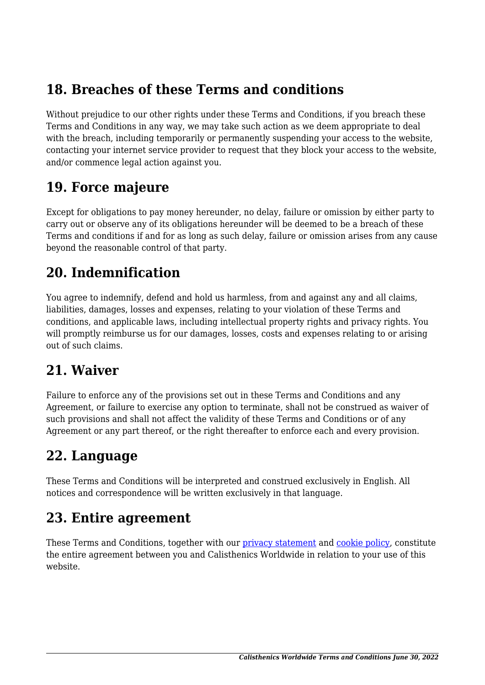### **18. Breaches of these Terms and conditions**

Without prejudice to our other rights under these Terms and Conditions, if you breach these Terms and Conditions in any way, we may take such action as we deem appropriate to deal with the breach, including temporarily or permanently suspending your access to the website, contacting your internet service provider to request that they block your access to the website, and/or commence legal action against you.

#### **19. Force majeure**

Except for obligations to pay money hereunder, no delay, failure or omission by either party to carry out or observe any of its obligations hereunder will be deemed to be a breach of these Terms and conditions if and for as long as such delay, failure or omission arises from any cause beyond the reasonable control of that party.

#### **20. Indemnification**

You agree to indemnify, defend and hold us harmless, from and against any and all claims, liabilities, damages, losses and expenses, relating to your violation of these Terms and conditions, and applicable laws, including intellectual property rights and privacy rights. You will promptly reimburse us for our damages, losses, costs and expenses relating to or arising out of such claims.

### **21. Waiver**

Failure to enforce any of the provisions set out in these Terms and Conditions and any Agreement, or failure to exercise any option to terminate, shall not be construed as waiver of such provisions and shall not affect the validity of these Terms and Conditions or of any Agreement or any part thereof, or the right thereafter to enforce each and every provision.

### **22. Language**

These Terms and Conditions will be interpreted and construed exclusively in English. All notices and correspondence will be written exclusively in that language.

### **23. Entire agreement**

These Terms and Conditions, together with our [privacy statement](https://calisthenicsworldwide.com/privacy-statement-us/?cmplz_region_redirect=true) and [cookie policy,](https://calisthenicsworldwide.com/cookie-policy-us/?cmplz_region_redirect=true) constitute the entire agreement between you and Calisthenics Worldwide in relation to your use of this website.